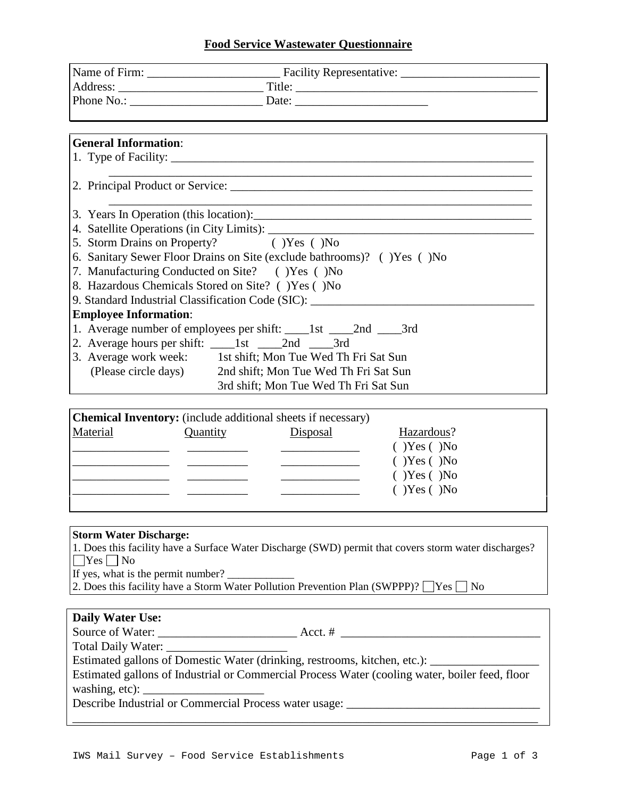### **Food Service Wastewater Questionnaire**

| <b>General Information:</b>                                                      |                                                             |  |  |
|----------------------------------------------------------------------------------|-------------------------------------------------------------|--|--|
|                                                                                  |                                                             |  |  |
|                                                                                  |                                                             |  |  |
|                                                                                  |                                                             |  |  |
|                                                                                  |                                                             |  |  |
|                                                                                  |                                                             |  |  |
|                                                                                  |                                                             |  |  |
| 5. Storm Drains on Property? ( ) Yes ( ) No                                      |                                                             |  |  |
| 6. Sanitary Sewer Floor Drains on Site (exclude bathrooms)? () Yes () No         |                                                             |  |  |
| 7. Manufacturing Conducted on Site? () Yes () No                                 |                                                             |  |  |
| 8. Hazardous Chemicals Stored on Site? ()Yes ()No                                |                                                             |  |  |
| 9. Standard Industrial Classification Code (SIC): ______________________________ |                                                             |  |  |
| <b>Employee Information:</b>                                                     |                                                             |  |  |
| 1. Average number of employees per shift: _____1st _____2nd _____3rd             |                                                             |  |  |
|                                                                                  |                                                             |  |  |
|                                                                                  | 3. Average work week: 1st shift; Mon Tue Wed Th Fri Sat Sun |  |  |
|                                                                                  | (Please circle days) 2nd shift; Mon Tue Wed Th Fri Sat Sun  |  |  |
|                                                                                  | 3rd shift; Mon Tue Wed Th Fri Sat Sun                       |  |  |

|          | <b>Chemical Inventory:</b> (include additional sheets if necessary) |          |                    |
|----------|---------------------------------------------------------------------|----------|--------------------|
| Material | Quantity                                                            | Disposal | Hazardous?         |
|          |                                                                     |          | $(Y)$ Yes $(Y)$ No |
|          |                                                                     |          | $(Y)$ Yes $(Y)$ No |
|          |                                                                     |          | $(Y)$ Yes $(Y)$ No |
|          |                                                                     |          | $(Y)$ Yes $(Y)$ No |
|          |                                                                     |          |                    |

#### **Storm Water Discharge:**

1. Does this facility have a Surface Water Discharge (SWD) permit that covers storm water discharges?  $\Box$ Yes  $\Box$  No

If yes, what is the permit number?

2. Does this facility have a Storm Water Pollution Prevention Plan (SWPPP)?  $\Box$  Yes  $\Box$  No

# **Daily Water Use:**

Source of Water: \_\_\_\_\_\_\_\_\_\_\_\_\_\_\_\_\_\_\_\_\_\_\_ Acct. # \_\_\_\_\_\_\_\_\_\_\_\_\_\_\_\_\_\_\_\_\_\_\_\_\_\_\_\_\_\_\_\_\_

Total Daily Water: \_\_\_\_\_\_\_\_\_\_\_\_\_\_\_\_\_\_\_\_

Estimated gallons of Domestic Water (drinking, restrooms, kitchen, etc.): \_\_\_\_\_\_\_\_\_\_\_\_\_\_\_\_\_\_

Estimated gallons of Industrial or Commercial Process Water (cooling water, boiler feed, floor washing, etc): \_\_\_\_\_\_\_\_\_\_\_\_\_\_\_\_\_\_\_\_

\_\_\_\_\_\_\_\_\_\_\_\_\_\_\_\_\_\_\_\_\_\_\_\_\_\_\_\_\_\_\_\_\_\_\_\_\_\_\_\_\_\_\_\_\_\_\_\_\_\_\_\_\_\_\_\_\_\_\_\_\_\_\_\_\_\_\_\_\_\_\_\_\_\_\_\_\_

Describe Industrial or Commercial Process water usage: \_\_\_\_\_\_\_\_\_\_\_\_\_\_\_\_\_\_\_\_\_\_\_\_\_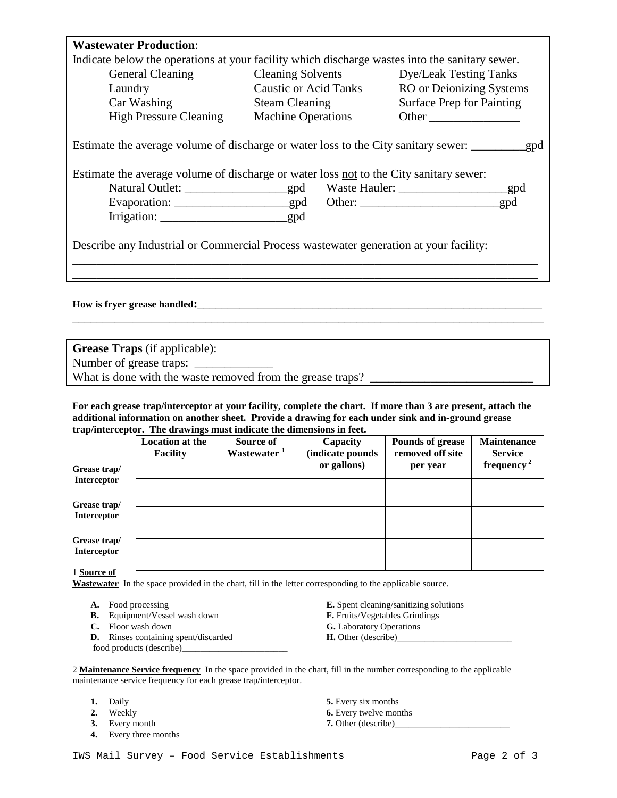| <b>Wastewater Production:</b>                                                                  |                              |  |                                                                                                                                                                                                                                     |  |
|------------------------------------------------------------------------------------------------|------------------------------|--|-------------------------------------------------------------------------------------------------------------------------------------------------------------------------------------------------------------------------------------|--|
| Indicate below the operations at your facility which discharge wastes into the sanitary sewer. |                              |  |                                                                                                                                                                                                                                     |  |
| <b>General Cleaning</b>                                                                        | <b>Cleaning Solvents</b>     |  | <b>Dye/Leak Testing Tanks</b>                                                                                                                                                                                                       |  |
| Laundry                                                                                        | <b>Caustic or Acid Tanks</b> |  | <b>RO</b> or Deionizing Systems                                                                                                                                                                                                     |  |
| Car Washing                                                                                    | <b>Steam Cleaning</b>        |  | <b>Surface Prep for Painting</b>                                                                                                                                                                                                    |  |
| <b>High Pressure Cleaning</b>                                                                  | <b>Machine Operations</b>    |  | <b>Other</b> contracts the contract of the contract of the contract of the contract of the contract of the contract of the contract of the contract of the contract of the contract of the contract of the contract of the contract |  |
| Estimate the average volume of discharge or water loss not to the City sanitary sewer:         |                              |  |                                                                                                                                                                                                                                     |  |
| Describe any Industrial or Commercial Process was tewater generation at your facility:         |                              |  |                                                                                                                                                                                                                                     |  |
|                                                                                                |                              |  |                                                                                                                                                                                                                                     |  |
|                                                                                                |                              |  |                                                                                                                                                                                                                                     |  |

**How is fryer grease handled:**\_\_\_\_\_\_\_\_\_\_\_\_\_\_\_\_\_\_\_\_\_\_\_\_\_\_\_\_\_\_\_\_\_\_\_\_\_\_\_\_\_\_\_\_\_\_\_\_\_\_\_\_\_\_\_\_\_

**Grease Traps** (if applicable): Number of grease traps: What is done with the waste removed from the grease traps?

**For each grease trap/interceptor at your facility, complete the chart. If more than 3 are present, attach the additional information on another sheet. Provide a drawing for each under sink and in-ground grease trap/interceptor. The drawings must indicate the dimensions in feet.**

\_\_\_\_\_\_\_\_\_\_\_\_\_\_\_\_\_\_\_\_\_\_\_\_\_\_\_\_\_\_\_\_\_\_\_\_\_\_\_\_\_\_\_\_\_\_\_\_\_\_\_\_\_\_\_\_\_\_\_\_\_\_\_\_\_\_\_\_\_\_\_\_\_\_\_\_\_\_

| Grease trap/                       | <b>Location at the</b><br><b>Facility</b> | Source of<br>Wastewater <sup>1</sup> | Capacity<br>(indicate pounds)<br>or gallons) | Pounds of grease<br>removed off site<br>per year | <b>Maintenance</b><br><b>Service</b><br>frequency <sup>2</sup> |
|------------------------------------|-------------------------------------------|--------------------------------------|----------------------------------------------|--------------------------------------------------|----------------------------------------------------------------|
| <b>Interceptor</b><br>Grease trap/ |                                           |                                      |                                              |                                                  |                                                                |
| <b>Interceptor</b>                 |                                           |                                      |                                              |                                                  |                                                                |
| Grease trap/<br><b>Interceptor</b> |                                           |                                      |                                              |                                                  |                                                                |

1 **Source of** 

**Wastewater** In the space provided in the chart, fill in the letter corresponding to the applicable source.

- 
- **B.** Equipment/Vessel wash down **C.** Floor wash down
- 
- **D.** Rinses containing spent/discarded **H.** Other (describe)

food products (describe)\_\_\_\_\_\_\_\_\_\_\_\_\_\_\_\_\_\_\_\_\_\_\_

- **A.** Food processing **E.** Spent cleaning/sanitizing solutions **B.** Equipment/Vessel wash down **F.** Fruits/Vegetables Grindings
	-
	- **G.** Laboratory Operations
	-

2 **Maintenance Service frequency** In the space provided in the chart, fill in the number corresponding to the applicable maintenance service frequency for each grease trap/interceptor.

- 
- 
- 
- **4.** Every three months
- **1.** Daily **5.** Every six months
	- **6.** Every twelve months
- **3.** Every month **7.** Other (describe)\_\_\_\_\_\_\_\_\_\_\_\_\_\_\_\_\_\_\_\_\_\_\_\_\_